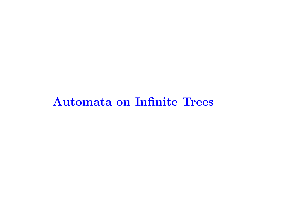# Automata on Infinite Trees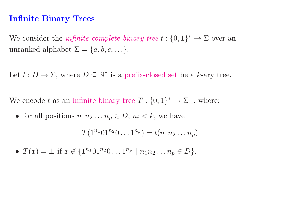#### Infinite Binary Trees

We consider the *infinite complete binary tree*  $t: \{0, 1\}^* \to \Sigma$  over an unranked alphabet  $\Sigma = \{a, b, c, \ldots\}.$ 

Let  $t: D \to \Sigma$ , where  $D \subseteq \mathbb{N}^*$  is a prefix-closed set be a k-ary tree.

We encode t as an infinite binary tree  $T: \{0, 1\}^* \to \Sigma_{\perp}$ , where:

• for all positions  $n_1 n_2 \dots n_p \in D$ ,  $n_i < k$ , we have

 $T(1^{n_1}01^{n_2}0\ldots 1^{n_p})=t(n_1n_2\ldots n_p)$ 

•  $T(x) = \perp$  if  $x \notin \{1^{n_1}01^{n_2}0\dots1^{n_p} \mid n_1n_2\dots n_p \in D\}.$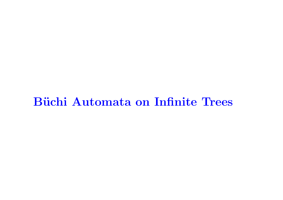# Büchi Automata on Infinite Trees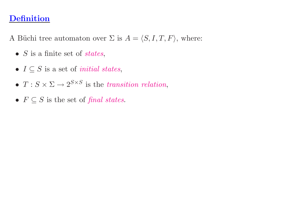# Definition

A Büchi tree automaton over  $\Sigma$  is  $A = \langle S, I, T, F \rangle$ , where:

- $S$  is a finite set of states,
- $I \subseteq S$  is a set of *initial states*,
- $T: S \times \Sigma \longrightarrow 2^{S \times S}$  is the transition relation,
- $F \subseteq S$  is the set of final states.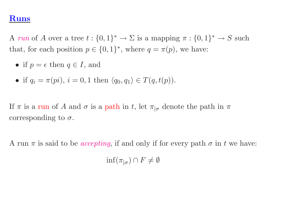#### Runs

A run of A over a tree  $t : \{0,1\}^* \to \Sigma$  is a mapping  $\pi : \{0,1\}^* \to S$  such that, for each position  $p \in \{0,1\}^*$ , where  $q = \pi(p)$ , we have:

- if  $p = \epsilon$  then  $q \in I$ , and
- if  $q_i = \pi(p_i)$ ,  $i = 0, 1$  then  $\langle q_0, q_1 \rangle \in T(q, t(p))$ .

If  $\pi$  is a run of A and  $\sigma$  is a path in t, let  $\pi_{\sigma}$  denote the path in  $\pi$ corresponding to  $\sigma$ .

A run  $\pi$  is said to be *accepting*, if and only if for every path  $\sigma$  in t we have:

 $\inf(\pi_{\vert\sigma})\cap F\neq\emptyset$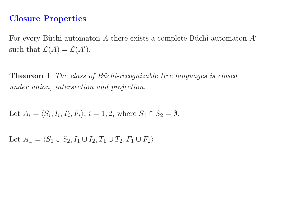For every Büchi automaton  $A$  there exists a complete Büchi automaton  $A'$ such that  $\mathcal{L}(A) = \mathcal{L}(A')$ .

**Theorem 1** The class of Büchi-recognizable tree languages is closed under union, intersection and projection.

Let 
$$
A_i = \langle S_i, I_i, T_i, F_i \rangle
$$
,  $i = 1, 2$ , where  $S_1 \cap S_2 = \emptyset$ .

Let  $A_{\cup} = \langle S_1 \cup S_2, I_1 \cup I_2, T_1 \cup T_2, F_1 \cup F_2 \rangle$ .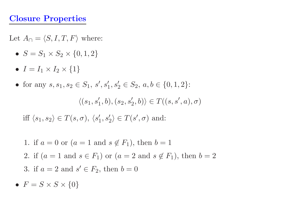# Closure Properties

Let  $A_{\cap} = \langle S, I, T, F \rangle$  where:

- $S = S_1 \times S_2 \times \{0, 1, 2\}$
- $I = I_1 \times I_2 \times \{1\}$
- for any  $s, s_1, s_2 \in S_1$ ,  $s', s'_1, s'_2$  $y_2' \in S_2, a, b \in \{0, 1, 2\}$ :

 $\langle (s_1,s'_1,b),(s_2,s'_2,b)\rangle\in T((s,s',a),\sigma)$ 

iff  $\langle s_1, s_2 \rangle \in T(s, \sigma), \, \langle s_1', s_2' \rangle \in T(s', \sigma)$  and:

\n- 1. if 
$$
a = 0
$$
 or  $(a = 1 \text{ and } s \notin F_1)$ , then  $b = 1$
\n- 2. if  $(a = 1 \text{ and } s \in F_1)$  or  $(a = 2 \text{ and } s \notin F_1)$ , then  $b = 2$
\n- 3. if  $a = 2$  and  $s' \in F_2$ , then  $b = 0$
\n

•  $F = S \times S \times \{0\}$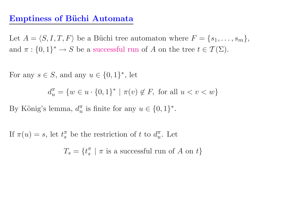#### Emptiness of Büchi Automata

Let  $A = \langle S, I, T, F \rangle$  be a Büchi tree automaton where  $F = \{s_1, \ldots, s_m\},\$ and  $\pi: \{0,1\}^* \to S$  be a successful run of A on the tree  $t \in \mathcal{T}(\Sigma)$ .

For any  $s \in S$ , and any  $u \in \{0,1\}^*$ , let

 $d^{\pi}_{\cdot\cdot}$  $\overline{u}$  $=\{w \in u \cdot \{0,1\}^* \mid \pi(v) \notin F, \text{ for all } u < v < w\}$ 

By König's lemma,  $d_u^{\pi}$  is finite for any  $u \in \{0,1\}^*$ .

If  $\pi(u) = s$ , let  $t_s^{\pi}$  be the restriction of t to  $d_u^{\pi}$ . Let

 $T_s = \{ t_s^{\pi}$  $\frac{\pi}{s}$  |  $\pi$  is a successful run of A on t}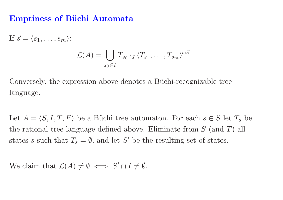#### Emptiness of Büchi Automata

If  $\vec{s} = \langle s_1, \ldots, s_m \rangle$ :  $\mathcal{L}(A) = \bigcup T_{s_0} \cdot_{\vec{s}} \langle T_{s_1}, \dots, T_{s_m} \rangle^{\omega \vec{s}}$  $s_0 \in I$ 

Conversely, the expression above denotes a Büchi-recognizable tree language.

Let  $A = \langle S, I, T, F \rangle$  be a Büchi tree automaton. For each  $s \in S$  let  $T_s$  be the rational tree language defined above. Eliminate from  $S$  (and  $T$ ) all states s such that  $T_s = \emptyset$ , and let S' be the resulting set of states.

We claim that  $\mathcal{L}(A) \neq \emptyset \iff S' \cap I \neq \emptyset$ .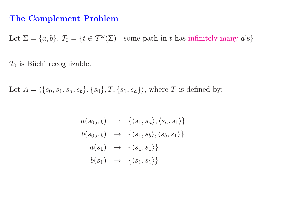#### The Complement Problem

Let  $\Sigma = \{a, b\}, \mathcal{T}_0 = \{t \in \mathcal{T}^\omega(\Sigma) \mid \text{some path in } t \text{ has infinitely many } a\text{'s}\}\$ 

 $\mathcal{T}_0$  is Büchi recognizable.

Let  $A = \langle \{s_0, s_1, s_a, s_b\}, \{s_0\}, T, \{s_1, s_a\} \rangle$ , where T is defined by:

$$
a(s_{0,a,b}) \rightarrow \{\langle s_1, s_a \rangle, \langle s_a, s_1 \rangle\}
$$
  
\n
$$
b(s_{0,a,b}) \rightarrow \{\langle s_1, s_b \rangle, \langle s_b, s_1 \rangle\}
$$
  
\n
$$
a(s_1) \rightarrow \{\langle s_1, s_1 \rangle\}
$$
  
\n
$$
b(s_1) \rightarrow \{\langle s_1, s_1 \rangle\}
$$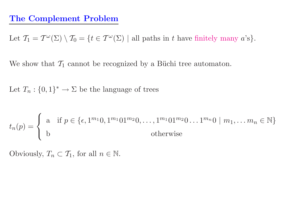#### The Complement Problem

Let  $\mathcal{T}_1 = \mathcal{T}^{\omega}(\Sigma) \setminus \mathcal{T}_0 = \{t \in \mathcal{T}^{\omega}(\Sigma) \mid \text{all paths in } t \text{ have finitely many } a \text{'s}\}.$ 

We show that  $\mathcal{T}_1$  cannot be recognized by a Büchi tree automaton.

Let  $T_n: \{0,1\}^* \to \Sigma$  be the language of trees

$$
t_n(p) = \begin{cases} \n\text{a} & \text{if } p \in \{\epsilon, 1^{m_1} 0, 1^{m_1} 0 1^{m_2} 0, \dots, 1^{m_1} 0 1^{m_2} 0 \dots 1^{m_n} 0 \mid m_1, \dots m_n \in \mathbb{N} \} \\ \n\text{b} & \text{otherwise} \n\end{cases}
$$

Obviously,  $T_n \subset \mathcal{T}_1$ , for all  $n \in \mathbb{N}$ .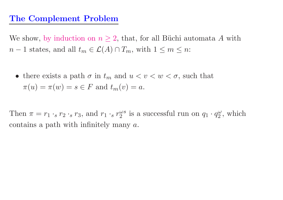We show, by induction on  $n \geq 2$ , that, for all Büchi automata A with  $n-1$  states, and all  $t_m \in \mathcal{L}(A) \cap T_m$ , with  $1 \leq m \leq n$ :

• there exists a path  $\sigma$  in  $t_m$  and  $u < v < w < \sigma$ , such that  $\pi(u) = \pi(w) = s \in F$  and  $t_m(v) = a$ .

Then  $\pi = r_1 \cdot_s r_2 \cdot_s r_3$ , and  $r_1 \cdot_s r_2^{\omega s}$  is a successful run on  $q_1 \cdot q$  $\frac{\omega}{2}$ , which contains a path with infinitely many  $a$ .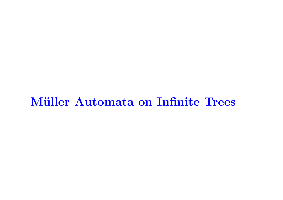# Müller Automata on Infinite Trees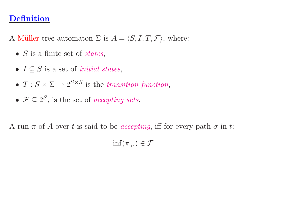## Definition

A Müller tree automaton  $\Sigma$  is  $A = \langle S, I, T, \mathcal{F} \rangle$ , where:

- $S$  is a finite set of *states*,
- $I \subseteq S$  is a set of *initial states*,
- $T : S \times \Sigma \rightarrow 2^{S \times S}$  is the transition function,
- $\mathcal{F} \subset 2^S$ , is the set of accepting sets.

A run  $\pi$  of A over t is said to be *accepting*, iff for every path  $\sigma$  in t:

 $\inf(\pi_{|\sigma}) \in \mathcal{F}$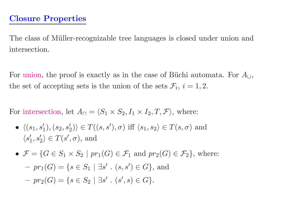The class of Müller-recognizable tree languages is closed under union and intersection.

For union, the proof is exactly as in the case of Büchi automata. For  $A_{\cup}$ , the set of accepting sets is the union of the sets  $\mathcal{F}_i$ ,  $i = 1, 2$ .

For intersection, let  $A_{\cap} = \langle S_1 \times S_2, I_1 \times I_2, T, \mathcal{F} \rangle$ , where:

- $\langle (s_1, s'_1), (s_2, s'_2) \rangle \in T((s, s'), \sigma)$  iff  $\langle s_1, s_2 \rangle \in T(s, \sigma)$  and  $\langle s_1', s_2' \rangle \in T(s', \sigma)$ , and
- $\mathcal{F} = \{G \in S_1 \times S_2 \mid pr_1(G) \in \mathcal{F}_1 \text{ and } pr_2(G) \in \mathcal{F}_2\}, \text{ where: }$  $- pr_1(G) = \{ s \in S_1 \mid \exists s' \, . \, (s, s') \in G \}$ , and  $- pr_2(G) = \{ s \in S_2 \mid \exists s' \cdot (s', s) \in G \}.$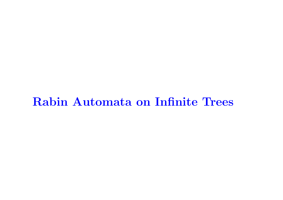# Rabin Automata on Infinite Trees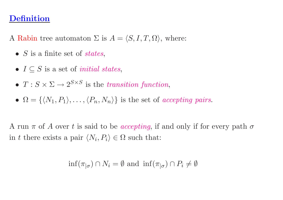#### Definition

A Rabin tree automaton  $\Sigma$  is  $A = \langle S, I, T, \Omega \rangle$ , where:

- $S$  is a finite set of states,
- $I \subseteq S$  is a set of *initial states*,
- $T : S \times \Sigma \rightarrow 2^{S \times S}$  is the transition function,
- $\Omega = \{ \langle N_1, P_1 \rangle, \ldots, \langle P_n, N_n \rangle \}$  is the set of accepting pairs.

A run  $\pi$  of A over t is said to be *accepting*, if and only if for every path  $\sigma$ in t there exists a pair  $\langle N_i, P_i \rangle \in \Omega$  such that:

$$
\inf(\pi_{|\sigma}) \cap N_i = \emptyset
$$
 and  $\inf(\pi_{|\sigma}) \cap P_i \neq \emptyset$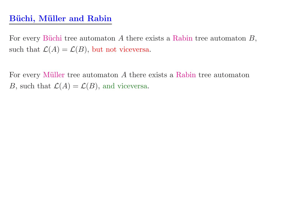# Büchi, Müller and Rabin

For every Büchi tree automaton  $A$  there exists a Rabin tree automaton  $B$ , such that  $\mathcal{L}(A) = \mathcal{L}(B)$ , but not viceversa.

For every Müller tree automaton  $A$  there exists a Rabin tree automaton B, such that  $\mathcal{L}(A) = \mathcal{L}(B)$ , and viceversa.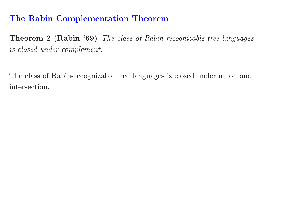# The Rabin Complementation Theorem

Theorem <sup>2</sup> (Rabin '69) The class of Rabin-recognizable tree languages is closed under complement.

The class of Rabin-recognizable tree languages is closed under union and intersection.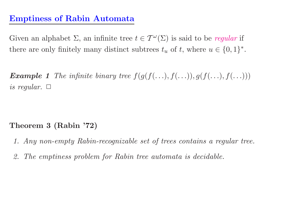# Emptiness of Rabin Automata

Given an alphabet  $\Sigma$ , an infinite tree  $t \in \mathcal{T}^{\omega}(\Sigma)$  is said to be regular if there are only finitely many distinct subtrees  $t_u$  of  $t$ , where  $u \in \{0,1\}^*$ .

**Example 1** The infinite binary tree  $f(g(f(\ldots), f(\ldots)), g(f(\ldots), f(\ldots)))$ is regular.  $\square$ 

Theorem <sup>3</sup> (Rabin '72)

- 1. Any non-empty Rabin-recognizable set of trees contains <sup>a</sup> regular tree.
- 2. The emptiness problem for Rabin tree automata is decidable.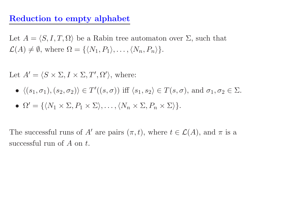### Reduction to empty alphabet

Let  $A = \langle S, I, T, \Omega \rangle$  be a Rabin tree automaton over  $\Sigma$ , such that  $\mathcal{L}(A) \neq \emptyset$ , where  $\Omega = \{ \langle N_1, P_1 \rangle, \dots, \langle N_n, P_n \rangle \}.$ 

Let  $A' = \langle S \times \Sigma, I \times \Sigma, T', \Omega' \rangle$ , where:

- $\bullet \ \langle (s_1,\sigma_1), (s_2,\sigma_2) \rangle \in T'((s,\sigma)) \text{ iff } \langle s_1,s_2 \rangle \in T(s,\sigma), \text{ and } \sigma_1,\sigma_2 \in \Sigma.$
- $\Omega' = \{ \langle N_1 \times \Sigma, P_1 \times \Sigma \rangle, \ldots, \langle N_n \times \Sigma, P_n \times \Sigma \rangle \}.$

The successful runs of A' are pairs  $(\pi, t)$ , where  $t \in \mathcal{L}(A)$ , and  $\pi$  is a successful run of  $A$  on  $t$ .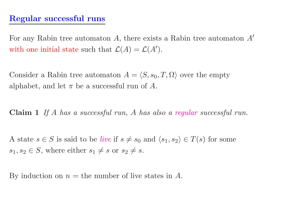# Regular successful runs

For any Rabin tree automaton  $A$ , there exists a Rabin tree automaton  $A'$ with one initial state such that  $\mathcal{L}(A) = \mathcal{L}(A')$ .

Consider a Rabin tree automaton  $A = \langle S, s_0, T, \Omega \rangle$  over the empty alphabet, and let  $\pi$  be a successful run of  $A$ .

Claim 1 If A has a successful run, A has also a regular successful run.

A state  $s \in S$  is said to be *live* if  $s \neq s_0$  and  $\langle s_1, s_2 \rangle \in T(s)$  for some  $s_1, s_2 \in S$ , where either  $s_1 \neq s$  or  $s_2 \neq s$ .

By induction on  $n =$  the number of live states in A.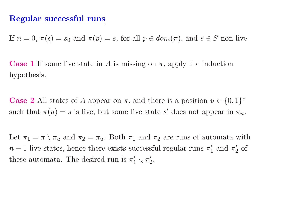#### Regular successful runs

If  $n = 0, \pi(\epsilon) = s_0$  and  $\pi(p) = s$ , for all  $p \in dom(\pi)$ , and  $s \in S$  non-live.

**Case 1** If some live state in A is missing on  $\pi$ , apply the induction hypothesis.

**Case 2** All states of A appear on  $\pi$ , and there is a position  $u \in \{0,1\}^*$ such that  $\pi(u) = s$  is live, but some live state s' does not appear in  $\pi_u$ .

Let  $\pi_1 = \pi \setminus \pi_u$  and  $\pi_2 = \pi_u$ . Both  $\pi_1$  and  $\pi_2$  are runs of automata with  $n-1$  live states, hence there exists successful regular runs  $\pi'_1$  and  $\pi'_2$  of these automata. The desired run is  $\pi'_1$  $_{1}^{\prime}$   $\cdot_{s}$   $\pi_{2}^{\prime}$  $2\cdot$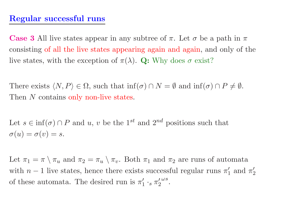### Regular successful runs

**Case 3** All live states appear in any subtree of  $\pi$ . Let  $\sigma$  be a path in  $\pi$ consisting of all the live states appearing again and again, and only of the live states, with the exception of  $\pi(\lambda)$ . Q: Why does  $\sigma$  exist?

There exists  $\langle N, P \rangle \in \Omega$ , such that  $\inf(\sigma) \cap N = \emptyset$  and  $\inf(\sigma) \cap P \neq \emptyset$ . Then N contains only non-live states.

Let  $s \in \inf(\sigma) \cap P$  and  $u, v$  be the 1<sup>st</sup> and  $2^{nd}$  positions such that  $\sigma(u)=\sigma(v)=s.$ 

Let  $\pi_1 = \pi \setminus \pi_u$  and  $\pi_2 = \pi_u \setminus \pi_v$ . Both  $\pi_1$  and  $\pi_2$  are runs of automata with  $n-1$  live states, hence there exists successful regular runs  $\pi'_1$  and  $\pi'_2$ 2 of these automata. The desired run is  $\pi'$  $_1' \cdot_s \pi_2'$ 2  $\omega s$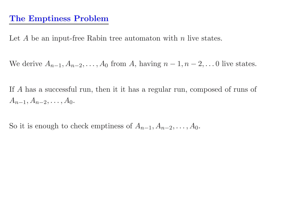# The Emptiness Problem

Let  $A$  be an input-free Rabin tree automaton with  $n$  live states.

We derive  $A_{n-1}, A_{n-2}, \ldots, A_0$  from A, having  $n-1, n-2, \ldots$  0 live states.

If A has <sup>a</sup> successful run, then it it has <sup>a</sup> regular run, composed of runs of  $A_{n-1},A_{n-2},\ldots,A_0.$ 

So it is enough to check emptiness of  $A_{n-1}, A_{n-2}, \ldots, A_0$ .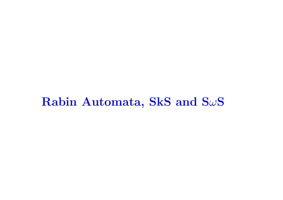# ${\bf R}$ abin Automata, SkS and S $\omega {\bf S}$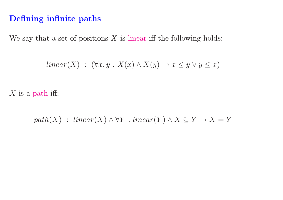# Defining infinite paths

We say that a set of positions  $X$  is linear iff the following holds:

$$
linear(X) : (\forall x, y \cdot X(x) \land X(y) \to x \le y \lor y \le x)
$$

 $X$  is a path iff:

 $path(X) : linear(X) \land \forall Y : linear(Y) \land X \subseteq Y \rightarrow X = Y$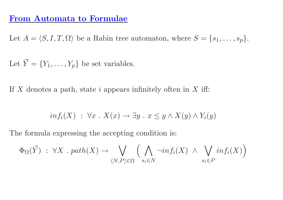#### From Automata to Formulae

Let  $A = \langle S, I, T, \Omega \rangle$  be a Rabin tree automaton, where  $S = \{s_1, \ldots, s_p\}.$ 

Let  $\vec{Y} = \{Y_1, \ldots, Y_p\}$  be set variables.

If  $X$  denotes a path, state  $i$  appears infinitely often in  $X$  iff:

$$
inf_i(X) : \forall x \cdot X(x) \to \exists y \cdot x \leq y \wedge X(y) \wedge Y_i(y)
$$

The formula expressing the accepting condition is:

$$
\Phi_{\Omega}(\vec{Y}) \; : \; \forall X \; \text{. } path(X) \to \bigvee_{\langle N, P \rangle \in \Omega} \Big( \bigwedge_{s_i \in N} \neg inf_i(X) \; \wedge \; \bigvee_{s_i \in P} inf_i(X) \Big)
$$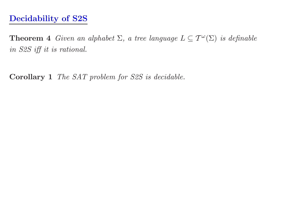**Theorem 4** Given an alphabet  $\Sigma$ , a tree language  $L \subseteq \mathcal{T}^{\omega}(\Sigma)$  is definable in S2S iff it is rational.

Corollary 1 The SAT problem for S2S is decidable.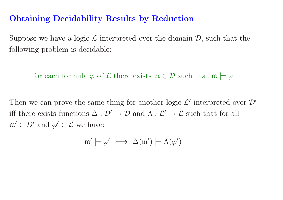# Obtaining Decidability Results by Reduction

Suppose we have a logic  $\mathcal L$  interpreted over the domain  $\mathcal D$ , such that the following problem is decidable:

for each formula  $\varphi$  of  $\mathcal L$  there exists  $\mathfrak m \in \mathcal D$  such that  $\mathfrak m \models \varphi$ 

Then we can prove the same thing for another logic  $\mathcal{L}'$  interpreted over  $\mathcal{D}'$ iff there exists functions  $\Delta: \mathcal{D}' \to \mathcal{D}$  and  $\Lambda: \mathcal{L}' \to \mathcal{L}$  such that for all  $\mathfrak{m}' \in D'$  and  $\varphi' \in \mathcal{L}$  we have:

$$
\mathfrak{m}'\models\varphi'\iff\Delta(\mathfrak{m}')\models\Lambda(\varphi')
$$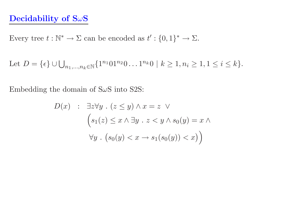#### Decidability of  $S\omega S$

Every tree  $t : \mathbb{N}^* \to \Sigma$  can be encoded as  $t' : \{0,1\}^* \to \Sigma$ .

Let 
$$
D = \{\epsilon\} \cup \bigcup_{n_1, ..., n_k \in \mathbb{N}} \{1^{n_1} 01^{n_2} 0 \dots 1^{n_k} 0 \mid k \ge 1, n_i \ge 1, 1 \le i \le k\}.
$$

Embedding the domain of  $S\omega S$  into S2S:

$$
D(x) : \exists z \forall y \ . \ (z \le y) \land x = z \ \lor
$$
  

$$
\left(s_1(z) \le x \land \exists y \ . \ z < y \land s_0(y) = x \land \forall y \ . \ (s_0(y) < x \rightarrow s_1(s_0(y)) < x)\right)
$$